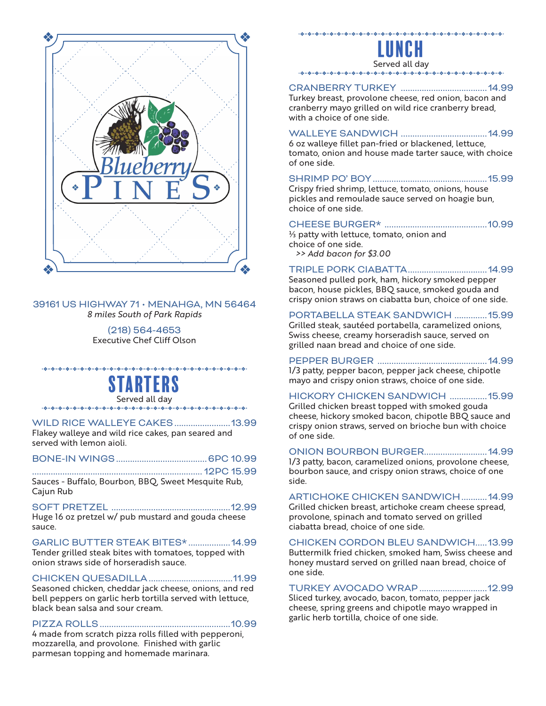

#### 39161 US HIGHWAY 71 • MENAHGA, MN 56464 *8 miles South of Park Rapids*

(218) 564-4653 Executive Chef Cliff Olson

STARTERS Served all day

WILD RICE WALLEYE CAKES........................13.99 Flakey walleye and wild rice cakes, pan seared and served with lemon aioli.

#### BONE-IN WINGS.......................................6PC 10.99

.........................................................................12PC 15.99 Sauces - Buffalo, Bourbon, BBQ, Sweet Mesquite Rub, Cajun Rub

SOFT PRETZEL ...................................................12.99 Huge 16 oz pretzel w/ pub mustard and gouda cheese sauce.

GARLIC BUTTER STEAK BITES\* ..................14.99 Tender grilled steak bites with tomatoes, topped with onion straws side of horseradish sauce.

CHICKEN QUESADILLA....................................11.99 Seasoned chicken, cheddar jack cheese, onions, and red bell peppers on garlic herb tortilla served with lettuce, black bean salsa and sour cream.

#### PIZZA ROLLS........................................................10.99

4 made from scratch pizza rolls filled with pepperoni, mozzarella, and provolone. Finished with garlic parmesan topping and homemade marinara.



# CRANBERRY TURKEY .....................................14.99

Turkey breast, provolone cheese, red onion, bacon and cranberry mayo grilled on wild rice cranberry bread, with a choice of one side.

#### WALLEYE SANDWICH .....................................14.99

6 oz walleye fillet pan-fried or blackened, lettuce, tomato, onion and house made tarter sauce, with choice of one side.

#### SHRIMP PO' BOY.................................................15.99

Crispy fried shrimp, lettuce, tomato, onions, house pickles and remoulade sauce served on hoagie bun, choice of one side.

#### CHEESE BURGER\* ............................................10.99

⅓ patty with lettuce, tomato, onion and choice of one side.  *>> Add bacon for \$3.00* 

#### TRIPLE PORK CIABATTA..................................14.99

Seasoned pulled pork, ham, hickory smoked pepper bacon, house pickles, BBQ sauce, smoked gouda and crispy onion straws on ciabatta bun, choice of one side.

#### PORTABELLA STEAK SANDWICH ..............15.99

Grilled steak, sautéed portabella, caramelized onions, Swiss cheese, creamy horseradish sauce, served on grilled naan bread and choice of one side.

PEPPER BURGER ...............................................14.99 1/3 patty, pepper bacon, pepper jack cheese, chipotle

# mayo and crispy onion straws, choice of one side.

## HICKORY CHICKEN SANDWICH ................15.99

Grilled chicken breast topped with smoked gouda cheese, hickory smoked bacon, chipotle BBQ sauce and crispy onion straws, served on brioche bun with choice of one side.

#### ONION BOURBON BURGER...........................14.99

1/3 patty, bacon, caramelized onions, provolone cheese, bourbon sauce, and crispy onion straws, choice of one side.

#### ARTICHOKE CHICKEN SANDWICH...........14.99

Grilled chicken breast, artichoke cream cheese spread, provolone, spinach and tomato served on grilled ciabatta bread, choice of one side.

#### CHICKEN CORDON BLEU SANDWICH ... 13.99

Buttermilk fried chicken, smoked ham, Swiss cheese and honey mustard served on grilled naan bread, choice of one side.

#### TURKEY AVOCADO WRAP .............................12.99

Sliced turkey, avocado, bacon, tomato, pepper jack cheese, spring greens and chipotle mayo wrapped in garlic herb tortilla, choice of one side.